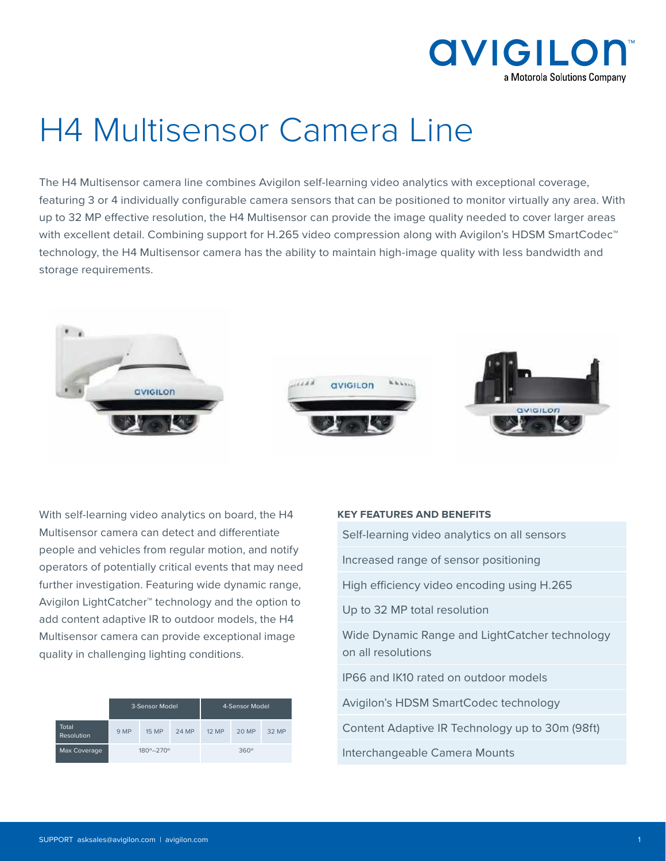

# H4 Multisensor Camera Line

The H4 Multisensor camera line combines Avigilon self-learning video analytics with exceptional coverage, featuring 3 or 4 individually configurable camera sensors that can be positioned to monitor virtually any area. With up to 32 MP effective resolution, the H4 Multisensor can provide the image quality needed to cover larger areas with excellent detail. Combining support for H.265 video compression along with Avigilon's HDSM SmartCodec<sup>™</sup> technology, the H4 Multisensor camera has the ability to maintain high-image quality with less bandwidth and storage requirements.



With self-learning video analytics on board, the H4 Multisensor camera can detect and differentiate people and vehicles from regular motion, and notify operators of potentially critical events that may need further investigation. Featuring wide dynamic range, Avigilon LightCatcher™ technology and the option to add content adaptive IR to outdoor models, the H4 Multisensor camera can provide exceptional image quality in challenging lighting conditions.

|                            | 3-Sensor Model              |              | 4-Sensor Model |             |       |       |
|----------------------------|-----------------------------|--------------|----------------|-------------|-------|-------|
| Total<br><b>Resolution</b> | 9 MP                        | <b>15 MP</b> | 24 MP          | 12 MP       | 20 MP | 32 MP |
| Max Coverage               | $180^{\circ} - 270^{\circ}$ |              |                | $360^\circ$ |       |       |

#### **KEY FEATURES AND BENEFITS**

Self-learning video analytics on all sensors

Increased range of sensor positioning

High efficiency video encoding using H.265

Up to 32 MP total resolution

Wide Dynamic Range and LightCatcher technology on all resolutions

IP66 and IK10 rated on outdoor models

Avigilon's HDSM SmartCodec technology

Content Adaptive IR Technology up to 30m (98ft)

Interchangeable Camera Mounts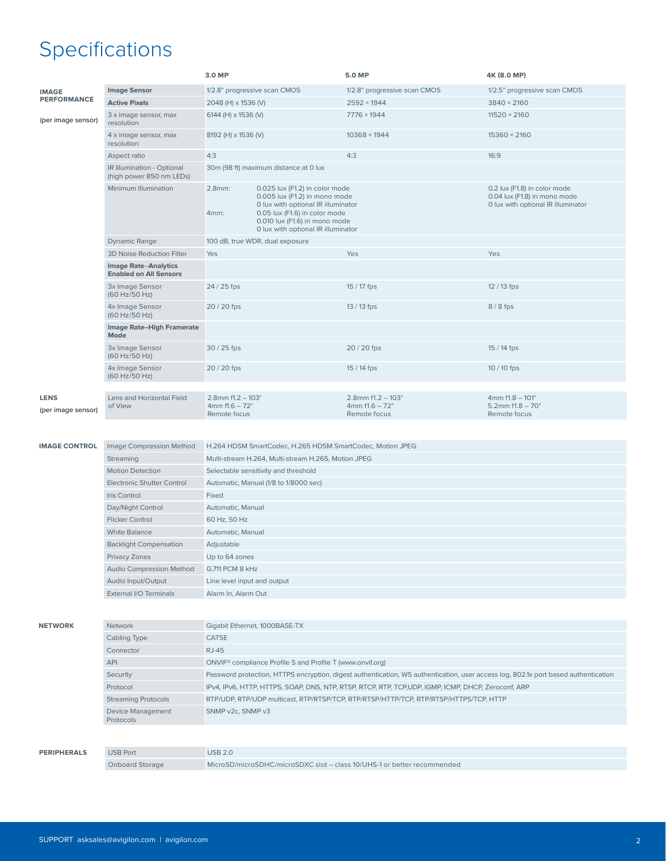## Specifications

|                                   |                                                              | 3.0 MP                                                                                                                                                                                                                          | 5.0 MP                                                            | 4K (8.0 MP)                                                                                        |  |  |  |
|-----------------------------------|--------------------------------------------------------------|---------------------------------------------------------------------------------------------------------------------------------------------------------------------------------------------------------------------------------|-------------------------------------------------------------------|----------------------------------------------------------------------------------------------------|--|--|--|
| <b>IMAGE</b>                      | <b>Image Sensor</b>                                          | 1/2.8" progressive scan CMOS                                                                                                                                                                                                    | 1/2.8" progressive scan CMOS                                      | 1/2.5" progressive scan CMOS                                                                       |  |  |  |
| <b>PERFORMANCE</b>                | <b>Active Pixels</b>                                         | 2048 (H) x 1536 (V)                                                                                                                                                                                                             | $2592 \times 1944$                                                | 3840 × 2160                                                                                        |  |  |  |
| (per image sensor)                | 3 x image sensor, max<br>resolution                          | 6144 (H) x 1536 (V)                                                                                                                                                                                                             | $7776 \times 1944$                                                | $11520 \times 2160$                                                                                |  |  |  |
|                                   | 4 x image sensor, max<br>resolution                          | 8192 (H) x 1536 (V)                                                                                                                                                                                                             | 10368 × 1944                                                      | 15360 × 2160                                                                                       |  |  |  |
|                                   | Aspect ratio                                                 | 4:3                                                                                                                                                                                                                             | 4:3                                                               | 16:9                                                                                               |  |  |  |
|                                   | IR Illumination - Optional<br>(high power 850 nm LEDs)       | 30m (98 ft) maximum distance at 0 lux                                                                                                                                                                                           |                                                                   |                                                                                                    |  |  |  |
|                                   | Minimum Illumination                                         | 2.8mm:<br>0.025 lux (F1.2) in color mode<br>0.005 lux (F1.2) in mono mode<br>0 lux with optional IR illuminator<br>0.05 lux (F1.6) in color mode<br>4mm:<br>0.010 lux (F1.6) in mono mode<br>0 lux with optional IR illuminator |                                                                   | 0.2 lux (F1.8) in color mode<br>0.04 lux (F1.8) in mono mode<br>0 lux with optional IR illuminator |  |  |  |
|                                   | <b>Dynamic Range</b>                                         | 100 dB, true WDR, dual exposure                                                                                                                                                                                                 |                                                                   |                                                                                                    |  |  |  |
|                                   | 3D Noise Reduction Filter                                    | Yes                                                                                                                                                                                                                             | Yes                                                               | Yes                                                                                                |  |  |  |
|                                   | <b>Image Rate-Analytics</b><br><b>Enabled on All Sensors</b> |                                                                                                                                                                                                                                 |                                                                   |                                                                                                    |  |  |  |
|                                   | 3x Image Sensor<br>(60 Hz/50 Hz)                             | 24 / 25 fps                                                                                                                                                                                                                     | 15 / 17 fps                                                       | 12/13 fps                                                                                          |  |  |  |
|                                   | 4x Image Sensor<br>(60 Hz/50 Hz)                             | 20 / 20 fps                                                                                                                                                                                                                     | 13 / 13 fps                                                       | $8/8$ fps                                                                                          |  |  |  |
|                                   | Image Rate-High Framerate<br><b>Mode</b>                     |                                                                                                                                                                                                                                 |                                                                   |                                                                                                    |  |  |  |
|                                   | 3x Image Sensor<br>(60 Hz/50 Hz)                             | 30 / 25 fps                                                                                                                                                                                                                     | 20 / 20 fps                                                       | 15 / 14 fps                                                                                        |  |  |  |
|                                   | 4x Image Sensor<br>(60 Hz/50 Hz)                             | 20 / 20 fps                                                                                                                                                                                                                     | 15 / 14 fps                                                       | 10 / 10 fps                                                                                        |  |  |  |
|                                   |                                                              |                                                                                                                                                                                                                                 |                                                                   |                                                                                                    |  |  |  |
| <b>LENS</b><br>(per image sensor) | Lens and Horizontal Field<br>of View                         | $2.8$ mm f1.2 - 103 $^{\circ}$<br>$4mmf1.6 - 72°$<br>Remote focus                                                                                                                                                               | $2.8$ mm f1.2 - 103 $^{\circ}$<br>$4mmf1.6 - 72°$<br>Remote focus | $4mmf1.8 - 101°$<br>5.2mm $f1.8 - 70^\circ$<br>Remote focus                                        |  |  |  |
|                                   |                                                              |                                                                                                                                                                                                                                 |                                                                   |                                                                                                    |  |  |  |

| <b>IMAGE CONTROL</b> | Image Compression Method          | H.264 HDSM SmartCodec, H.265 HDSM SmartCodec, Motion JPEG |
|----------------------|-----------------------------------|-----------------------------------------------------------|
|                      | Streaming                         | Multi-stream H.264, Multi-stream H.265, Motion JPEG       |
|                      | <b>Motion Detection</b>           | Selectable sensitivity and threshold                      |
|                      | <b>Electronic Shutter Control</b> | Automatic, Manual (1/8 to 1/8000 sec)                     |
|                      | Iris Control                      | Fixed                                                     |
|                      | Day/Night Control                 | Automatic, Manual                                         |
|                      | <b>Flicker Control</b>            | 60 Hz, 50 Hz                                              |
|                      | <b>White Balance</b>              | Automatic, Manual                                         |
|                      | <b>Backlight Compensation</b>     | Adjustable                                                |
|                      | Privacy Zones                     | Up to 64 zones                                            |
|                      | Audio Compression Method          | G.711 PCM 8 kHz                                           |
|                      | Audio Input/Output                | Line level input and output                               |
|                      | External I/O Terminals            | Alarm In, Alarm Out                                       |
|                      |                                   |                                                           |

| <b>NETWORK</b>     | <b>Network</b>                 | Gigabit Ethernet, 1000BASE-TX                                                                                                      |
|--------------------|--------------------------------|------------------------------------------------------------------------------------------------------------------------------------|
|                    | Cabling Type                   | CAT5E                                                                                                                              |
|                    | Connector                      | RJ-45                                                                                                                              |
|                    | <b>API</b>                     | ONVIF <sup>®</sup> compliance Profile S and Profile T (www.onvif.org)                                                              |
|                    | Security                       | Password protection, HTTPS encryption, digest authentication, WS authentication, user access log, 802.1x port based authentication |
|                    | Protocol                       | IPv4, IPv6, HTTP, HTTPS, SOAP, DNS, NTP, RTSP, RTCP, RTP, TCP, UDP, IGMP, ICMP, DHCP, Zeroconf, ARP                                |
|                    | <b>Streaming Protocols</b>     | RTP/UDP, RTP/UDP multicast, RTP/RTSP/TCP, RTP/RTSP/HTTP/TCP, RTP/RTSP/HTTPS/TCP, HTTP                                              |
|                    | Device Management<br>Protocols | SNMP v2c. SNMP v3                                                                                                                  |
|                    |                                |                                                                                                                                    |
| <b>PERIPHERALS</b> | <b>USB Port</b>                | <b>USB 2.0</b>                                                                                                                     |
|                    | <b>Onboard Storage</b>         | MicroSD/microSDHC/microSDXC slot – class 10/UHS-1 or better recommended                                                            |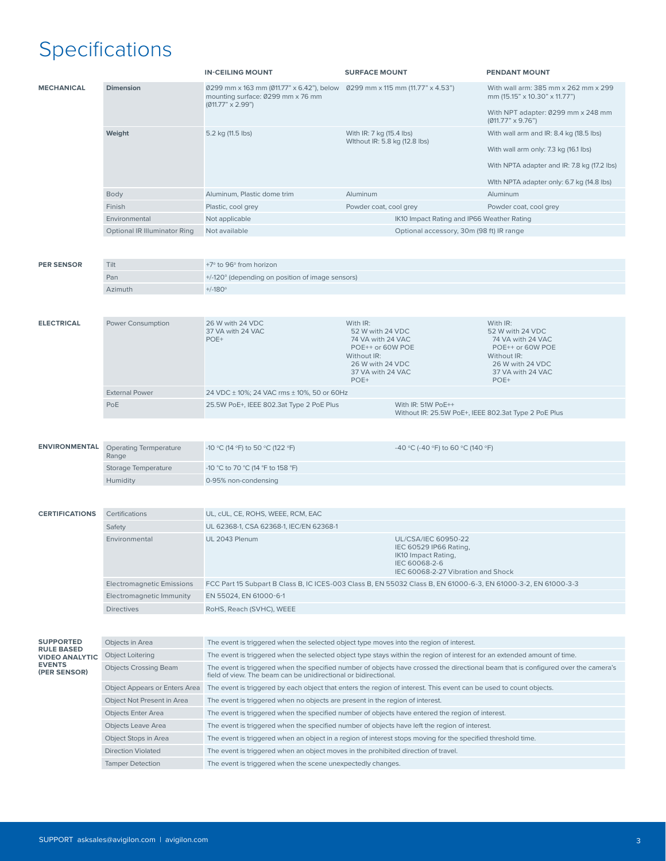## Specifications

|                                       |                                        | <b>IN-CEILING MOUNT</b>                                                                                                                                                                               | <b>SURFACE MOUNT</b>                                                                                                          |                                                      | <b>PENDANT MOUNT</b>                                                                                                          |  |  |
|---------------------------------------|----------------------------------------|-------------------------------------------------------------------------------------------------------------------------------------------------------------------------------------------------------|-------------------------------------------------------------------------------------------------------------------------------|------------------------------------------------------|-------------------------------------------------------------------------------------------------------------------------------|--|--|
| <b>MECHANICAL</b>                     | <b>Dimension</b>                       | 0299 mm x 163 mm (011.77" x 6.42"), below 0299 mm x 115 mm (11.77" x 4.53")<br>mounting surface: 0299 mm x 76 mm<br>$(Ø11.77" \times 2.99")$                                                          |                                                                                                                               |                                                      | With wall arm: 385 mm x 262 mm x 299<br>mm (15.15" x 10.30" x 11.77")                                                         |  |  |
|                                       |                                        |                                                                                                                                                                                                       |                                                                                                                               |                                                      | With NPT adapter: 0299 mm x 248 mm<br>$(Ø11.77" \times 9.76")$                                                                |  |  |
|                                       | Weight                                 | 5.2 kg (11.5 lbs)                                                                                                                                                                                     | With IR: 7 kg (15.4 lbs)                                                                                                      |                                                      | With wall arm and IR: 8.4 kg (18.5 lbs)                                                                                       |  |  |
|                                       |                                        |                                                                                                                                                                                                       | Without IR: 5.8 kg (12.8 lbs)                                                                                                 |                                                      | With wall arm only: 7.3 kg (16.1 lbs)                                                                                         |  |  |
|                                       |                                        |                                                                                                                                                                                                       |                                                                                                                               |                                                      | With NPTA adapter and IR: 7.8 kg (17.2 lbs)                                                                                   |  |  |
|                                       |                                        |                                                                                                                                                                                                       |                                                                                                                               |                                                      | With NPTA adapter only: 6.7 kg (14.8 lbs)                                                                                     |  |  |
|                                       | <b>Body</b>                            | Aluminum, Plastic dome trim                                                                                                                                                                           | Aluminum                                                                                                                      |                                                      | Aluminum                                                                                                                      |  |  |
|                                       | Finish                                 | Plastic, cool grey                                                                                                                                                                                    | Powder coat, cool grey                                                                                                        |                                                      | Powder coat, cool grey                                                                                                        |  |  |
|                                       | Environmental                          | Not applicable                                                                                                                                                                                        |                                                                                                                               | IK10 Impact Rating and IP66 Weather Rating           |                                                                                                                               |  |  |
|                                       | <b>Optional IR Illuminator Ring</b>    | Not available<br>Optional accessory, 30m (98 ft) IR range                                                                                                                                             |                                                                                                                               |                                                      |                                                                                                                               |  |  |
| <b>PER SENSOR</b>                     | Tilt                                   | +7° to 96° from horizon                                                                                                                                                                               |                                                                                                                               |                                                      |                                                                                                                               |  |  |
| Pan                                   |                                        | +/-120° (depending on position of image sensors)                                                                                                                                                      |                                                                                                                               |                                                      |                                                                                                                               |  |  |
|                                       | Azimuth                                | $+/-180^\circ$                                                                                                                                                                                        |                                                                                                                               |                                                      |                                                                                                                               |  |  |
|                                       |                                        |                                                                                                                                                                                                       |                                                                                                                               |                                                      |                                                                                                                               |  |  |
| <b>ELECTRICAL</b>                     | Power Consumption                      | 26 W with 24 VDC<br>37 VA with 24 VAC<br>POE+                                                                                                                                                         | With IR:<br>52 W with 24 VDC<br>74 VA with 24 VAC<br>POE++ or 60W POE<br>Without IR:<br>26 W with 24 VDC<br>37 VA with 24 VAC |                                                      | With IR:<br>52 W with 24 VDC<br>74 VA with 24 VAC<br>POE++ or 60W POE<br>Without IR:<br>26 W with 24 VDC<br>37 VA with 24 VAC |  |  |
|                                       | <b>External Power</b>                  | 24 VDC ± 10%; 24 VAC rms ± 10%, 50 or 60Hz                                                                                                                                                            | POE+                                                                                                                          |                                                      | POE+                                                                                                                          |  |  |
|                                       | PoE                                    | 25.5W PoE+, IEEE 802.3at Type 2 PoE Plus                                                                                                                                                              |                                                                                                                               | With IR: 51W PoE++                                   |                                                                                                                               |  |  |
|                                       |                                        |                                                                                                                                                                                                       |                                                                                                                               | Without IR: 25.5W PoE+, IEEE 802.3at Type 2 PoE Plus |                                                                                                                               |  |  |
|                                       |                                        |                                                                                                                                                                                                       |                                                                                                                               |                                                      |                                                                                                                               |  |  |
| <b>ENVIRONMENTAL</b>                  | <b>Operating Termperature</b><br>Range | -10 °C (14 °F) to 50 °C (122 °F)                                                                                                                                                                      |                                                                                                                               | -40 °C (-40 °F) to 60 °C (140 °F)                    |                                                                                                                               |  |  |
|                                       | Storage Temperature                    | -10 °C to 70 °C (14 °F to 158 °F)                                                                                                                                                                     |                                                                                                                               |                                                      |                                                                                                                               |  |  |
|                                       | Humidity                               | 0-95% non-condensing                                                                                                                                                                                  |                                                                                                                               |                                                      |                                                                                                                               |  |  |
|                                       |                                        |                                                                                                                                                                                                       |                                                                                                                               |                                                      |                                                                                                                               |  |  |
|                                       |                                        |                                                                                                                                                                                                       |                                                                                                                               |                                                      |                                                                                                                               |  |  |
| <b>CERTIFICATIONS</b>                 | Certifications                         | UL, cUL, CE, ROHS, WEEE, RCM, EAC                                                                                                                                                                     |                                                                                                                               |                                                      |                                                                                                                               |  |  |
|                                       | Safety                                 | UL 62368-1, CSA 62368-1, IEC/EN 62368-1                                                                                                                                                               |                                                                                                                               |                                                      |                                                                                                                               |  |  |
|                                       | Environmental                          | UL 2043 Plenum<br>UL/CSA/IEC 60950-22<br>IEC 60529 IP66 Rating,<br>IK10 Impact Rating,<br>IEC 60068-2-6<br>IEC 60068-2-27 Vibration and Shock                                                         |                                                                                                                               |                                                      |                                                                                                                               |  |  |
|                                       | <b>Electromagnetic Emissions</b>       | FCC Part 15 Subpart B Class B, IC ICES-003 Class B, EN 55032 Class B, EN 61000-6-3, EN 61000-3-2, EN 61000-3-3                                                                                        |                                                                                                                               |                                                      |                                                                                                                               |  |  |
|                                       | Electromagnetic Immunity               | EN 55024, EN 61000-6-1                                                                                                                                                                                |                                                                                                                               |                                                      |                                                                                                                               |  |  |
|                                       | <b>Directives</b>                      | RoHS, Reach (SVHC), WEEE                                                                                                                                                                              |                                                                                                                               |                                                      |                                                                                                                               |  |  |
|                                       |                                        |                                                                                                                                                                                                       |                                                                                                                               |                                                      |                                                                                                                               |  |  |
| <b>SUPPORTED</b><br><b>RULE BASED</b> | Objects in Area                        | The event is triggered when the selected object type moves into the region of interest.                                                                                                               |                                                                                                                               |                                                      |                                                                                                                               |  |  |
| <b>VIDEO ANALYTIC</b>                 | <b>Object Loitering</b>                | The event is triggered when the selected object type stays within the region of interest for an extended amount of time.                                                                              |                                                                                                                               |                                                      |                                                                                                                               |  |  |
| <b>EVENTS</b><br>(PER SENSOR)         | <b>Objects Crossing Beam</b>           | The event is triggered when the specified number of objects have crossed the directional beam that is configured over the camera's<br>field of view. The beam can be unidirectional or bidirectional. |                                                                                                                               |                                                      |                                                                                                                               |  |  |
|                                       | Object Appears or Enters Area          | The event is triggered by each object that enters the region of interest. This event can be used to count objects.                                                                                    |                                                                                                                               |                                                      |                                                                                                                               |  |  |
|                                       | Object Not Present in Area             | The event is triggered when no objects are present in the region of interest.                                                                                                                         |                                                                                                                               |                                                      |                                                                                                                               |  |  |
|                                       | <b>Objects Enter Area</b>              | The event is triggered when the specified number of objects have entered the region of interest.                                                                                                      |                                                                                                                               |                                                      |                                                                                                                               |  |  |
|                                       | Objects Leave Area                     | The event is triggered when the specified number of objects have left the region of interest.                                                                                                         |                                                                                                                               |                                                      |                                                                                                                               |  |  |
|                                       | Object Stops in Area                   | The event is triggered when an object in a region of interest stops moving for the specified threshold time.                                                                                          |                                                                                                                               |                                                      |                                                                                                                               |  |  |
|                                       | <b>Direction Violated</b>              | The event is triggered when an object moves in the prohibited direction of travel.                                                                                                                    |                                                                                                                               |                                                      |                                                                                                                               |  |  |
|                                       | <b>Tamper Detection</b>                | The event is triggered when the scene unexpectedly changes.                                                                                                                                           |                                                                                                                               |                                                      |                                                                                                                               |  |  |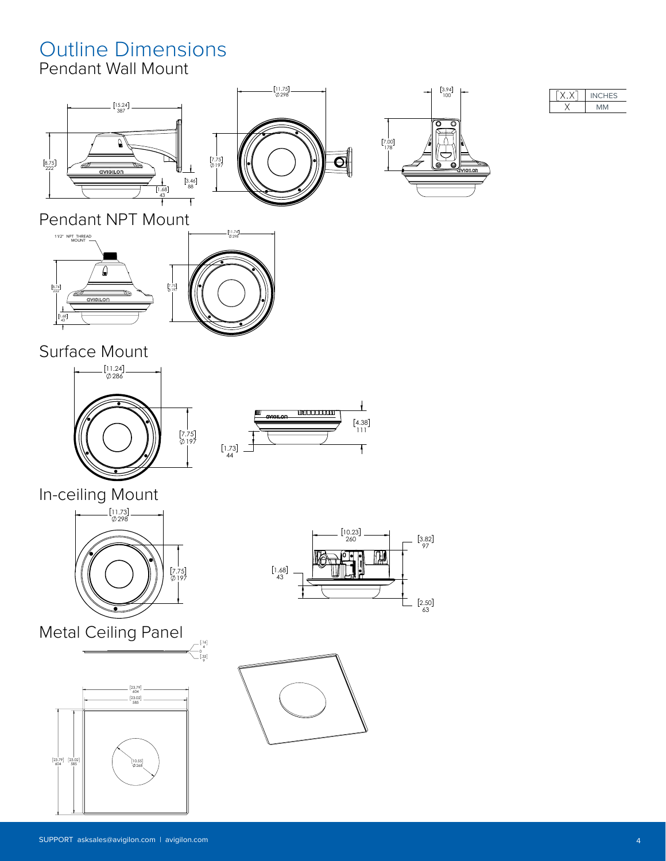#### Outline Dimensions Pendant Wall Mount

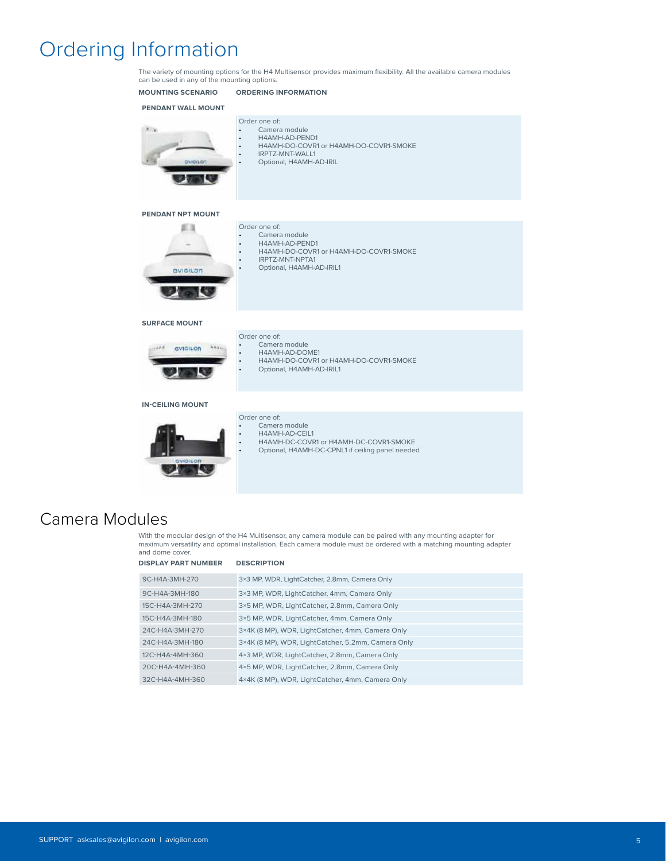### Ordering Information

The variety of mounting options for the H4 Multisensor provides maximum flexibility. All the available camera modules can be used in any of the mounting options.



#### Camera Modules

With the modular design of the H4 Multisensor, any camera module can be paired with any mounting adapter for maximum versatility and optimal installation. Each camera module must be ordered with a matching mounting adapter and dome cover.

| <b>DISPLAY PART NUMBER</b> | <b>DESCRIPTION</b>                                 |
|----------------------------|----------------------------------------------------|
| 9C-H4A-3MH-270             | 3×3 MP, WDR, LightCatcher, 2.8mm, Camera Only      |
| 9C-H4A-3MH-180             | 3×3 MP, WDR, LightCatcher, 4mm, Camera Only        |
| 15C-H4A-3MH-270            | 3×5 MP, WDR, LightCatcher, 2.8mm, Camera Only      |
| 15C-H4A-3MH-180            | 3×5 MP, WDR, LightCatcher, 4mm, Camera Only        |
| 24C-H4A-3MH-270            | 3×4K (8 MP), WDR, LightCatcher, 4mm, Camera Only   |
| 24C-H4A-3MH-180            | 3×4K (8 MP), WDR, LightCatcher, 5.2mm, Camera Only |
| 12C-H4A-4MH-360            | 4×3 MP, WDR, LightCatcher, 2.8mm, Camera Only      |
| 20C-H4A-4MH-360            | 4×5 MP, WDR, LightCatcher, 2.8mm, Camera Only      |
| 32C-H4A-4MH-360            | 4×4K (8 MP), WDR, LightCatcher, 4mm, Camera Only   |